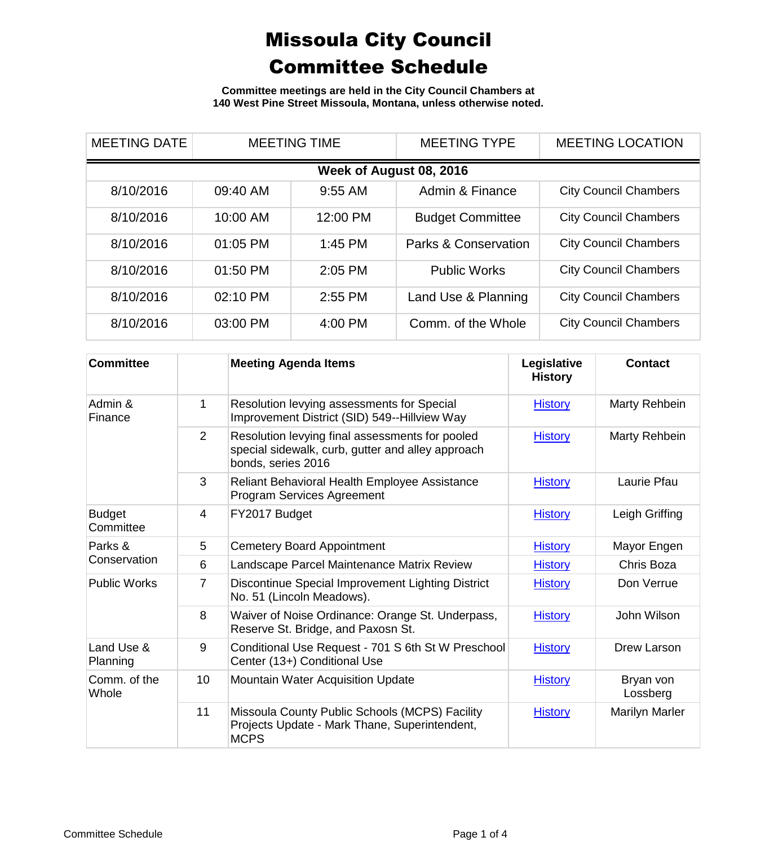**Committee meetings are held in the City Council Chambers at 140 West Pine Street Missoula, Montana, unless otherwise noted.**

| <b>MEETING DATE</b>     | <b>MEETING TIME</b> |           | <b>MEETING TYPE</b>     | <b>MEETING LOCATION</b>      |  |  |
|-------------------------|---------------------|-----------|-------------------------|------------------------------|--|--|
| Week of August 08, 2016 |                     |           |                         |                              |  |  |
| 8/10/2016               | 09:40 AM            | $9:55$ AM | Admin & Finance         | <b>City Council Chambers</b> |  |  |
| 8/10/2016               | 10:00 AM            | 12:00 PM  | <b>Budget Committee</b> | <b>City Council Chambers</b> |  |  |
| 8/10/2016               | 01:05 PM            | $1:45$ PM | Parks & Conservation    | <b>City Council Chambers</b> |  |  |
| 8/10/2016               | 01:50 PM            | 2:05 PM   | <b>Public Works</b>     | <b>City Council Chambers</b> |  |  |
| 8/10/2016               | 02:10 PM            | 2:55 PM   | Land Use & Planning     | <b>City Council Chambers</b> |  |  |
| 8/10/2016               | 03:00 PM            | 4:00 PM   | Comm. of the Whole      | <b>City Council Chambers</b> |  |  |

| <b>Committee</b>           |                | <b>Meeting Agenda Items</b>                                                                                                | Legislative<br><b>History</b> | <b>Contact</b>        |
|----------------------------|----------------|----------------------------------------------------------------------------------------------------------------------------|-------------------------------|-----------------------|
| Admin &<br>Finance         | 1              | Resolution levying assessments for Special<br>Improvement District (SID) 549--Hillview Way                                 | <b>History</b>                | Marty Rehbein         |
|                            | $\overline{2}$ | Resolution levying final assessments for pooled<br>special sidewalk, curb, gutter and alley approach<br>bonds, series 2016 | <b>History</b>                | Marty Rehbein         |
|                            | 3              | Reliant Behavioral Health Employee Assistance<br><b>Program Services Agreement</b>                                         | <b>History</b>                | Laurie Pfau           |
| <b>Budget</b><br>Committee | 4              | FY2017 Budget                                                                                                              | <b>History</b>                | Leigh Griffing        |
| Parks &<br>Conservation    | 5              | <b>Cemetery Board Appointment</b>                                                                                          | <b>History</b>                | Mayor Engen           |
|                            | 6              | Landscape Parcel Maintenance Matrix Review                                                                                 | <b>History</b>                | Chris Boza            |
| <b>Public Works</b>        | 7              | Discontinue Special Improvement Lighting District<br>No. 51 (Lincoln Meadows).                                             | <b>History</b>                | Don Verrue            |
|                            | 8              | Waiver of Noise Ordinance: Orange St. Underpass,<br>Reserve St. Bridge, and Paxosn St.                                     | <b>History</b>                | John Wilson           |
| Land Use &<br>Planning     | 9              | Conditional Use Request - 701 S 6th St W Preschool<br>Center (13+) Conditional Use                                         | <b>History</b>                | Drew Larson           |
| Comm. of the<br>Whole      | 10             | <b>Mountain Water Acquisition Update</b>                                                                                   | <b>History</b>                | Bryan von<br>Lossberg |
|                            | 11             | Missoula County Public Schools (MCPS) Facility<br>Projects Update - Mark Thane, Superintendent,<br><b>MCPS</b>             | <b>History</b>                | <b>Marilyn Marler</b> |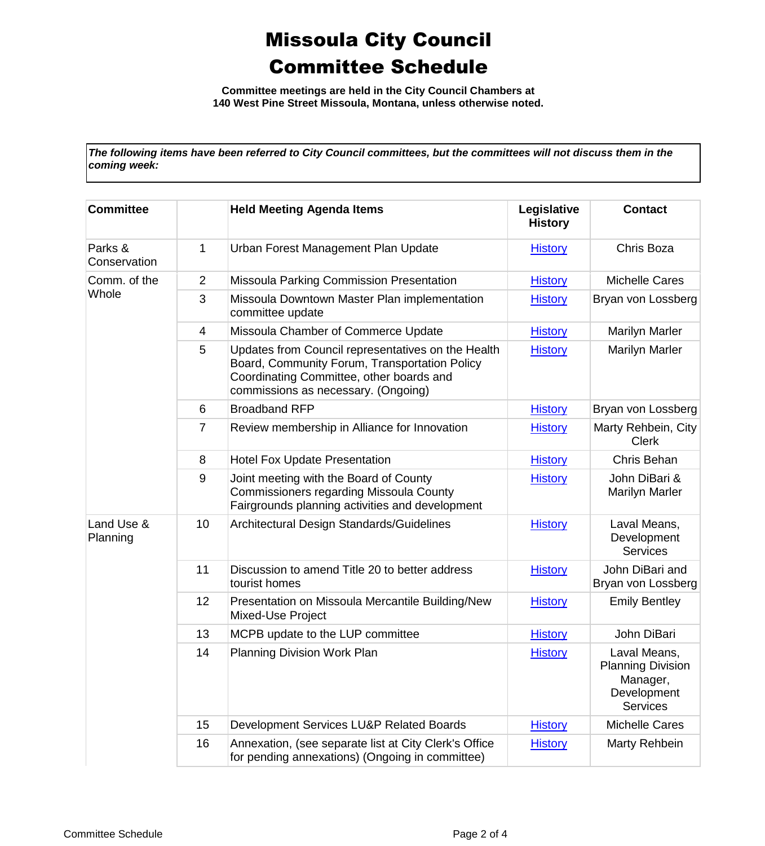**Committee meetings are held in the City Council Chambers at 140 West Pine Street Missoula, Montana, unless otherwise noted.**

*The following items have been referred to City Council committees, but the committees will not discuss them in the coming week:*

| <b>Committee</b>        |                | <b>Held Meeting Agenda Items</b>                                                                                                                                                       | Legislative<br><b>History</b> | <b>Contact</b>                                                                         |
|-------------------------|----------------|----------------------------------------------------------------------------------------------------------------------------------------------------------------------------------------|-------------------------------|----------------------------------------------------------------------------------------|
| Parks &<br>Conservation | 1              | Urban Forest Management Plan Update                                                                                                                                                    | <b>History</b>                | Chris Boza                                                                             |
| Comm. of the<br>Whole   | $\overline{2}$ | Missoula Parking Commission Presentation                                                                                                                                               | <b>History</b>                | <b>Michelle Cares</b>                                                                  |
|                         | 3              | Missoula Downtown Master Plan implementation<br>committee update                                                                                                                       | <b>History</b>                | Bryan von Lossberg                                                                     |
|                         | 4              | Missoula Chamber of Commerce Update                                                                                                                                                    | <b>History</b>                | <b>Marilyn Marler</b>                                                                  |
|                         | 5              | Updates from Council representatives on the Health<br>Board, Community Forum, Transportation Policy<br>Coordinating Committee, other boards and<br>commissions as necessary. (Ongoing) | <b>History</b>                | <b>Marilyn Marler</b>                                                                  |
|                         | 6              | <b>Broadband RFP</b>                                                                                                                                                                   | <b>History</b>                | Bryan von Lossberg                                                                     |
|                         | 7              | Review membership in Alliance for Innovation                                                                                                                                           | <b>History</b>                | Marty Rehbein, City<br><b>Clerk</b>                                                    |
|                         | 8              | <b>Hotel Fox Update Presentation</b>                                                                                                                                                   | <b>History</b>                | Chris Behan                                                                            |
|                         | 9              | Joint meeting with the Board of County<br><b>Commissioners regarding Missoula County</b><br>Fairgrounds planning activities and development                                            | <b>History</b>                | John DiBari &<br><b>Marilyn Marler</b>                                                 |
| Land Use &<br>Planning  | 10             | Architectural Design Standards/Guidelines                                                                                                                                              | <b>History</b>                | Laval Means,<br>Development<br><b>Services</b>                                         |
|                         | 11             | Discussion to amend Title 20 to better address<br>tourist homes                                                                                                                        | <b>History</b>                | John DiBari and<br>Bryan von Lossberg                                                  |
|                         | 12             | Presentation on Missoula Mercantile Building/New<br>Mixed-Use Project                                                                                                                  | <b>History</b>                | <b>Emily Bentley</b>                                                                   |
|                         | 13             | MCPB update to the LUP committee                                                                                                                                                       | <b>History</b>                | John DiBari                                                                            |
|                         | 14             | <b>Planning Division Work Plan</b>                                                                                                                                                     | <b>History</b>                | Laval Means,<br><b>Planning Division</b><br>Manager,<br>Development<br><b>Services</b> |
|                         | 15             | Development Services LU&P Related Boards                                                                                                                                               | <b>History</b>                | <b>Michelle Cares</b>                                                                  |
|                         | 16             | Annexation, (see separate list at City Clerk's Office<br>for pending annexations) (Ongoing in committee)                                                                               | <b>History</b>                | Marty Rehbein                                                                          |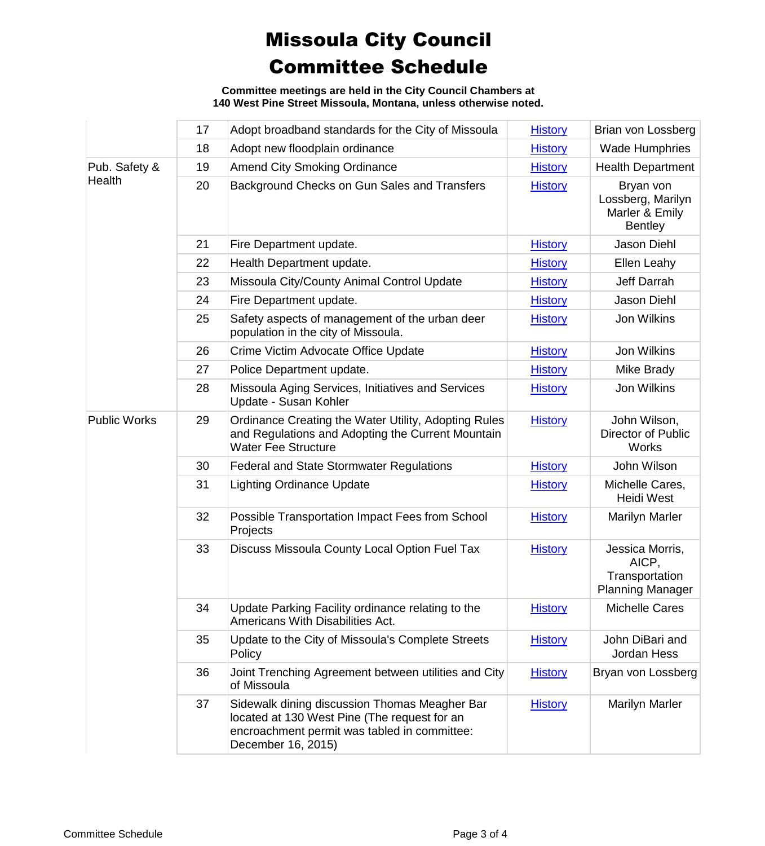**Committee meetings are held in the City Council Chambers at 140 West Pine Street Missoula, Montana, unless otherwise noted.**

|                         | 17 | Adopt broadband standards for the City of Missoula                                                                                                                  | <b>History</b> | Brian von Lossberg                                                    |
|-------------------------|----|---------------------------------------------------------------------------------------------------------------------------------------------------------------------|----------------|-----------------------------------------------------------------------|
|                         | 18 | Adopt new floodplain ordinance                                                                                                                                      | <b>History</b> | <b>Wade Humphries</b>                                                 |
| Pub. Safety &<br>Health | 19 | <b>Amend City Smoking Ordinance</b>                                                                                                                                 | <b>History</b> | <b>Health Department</b>                                              |
|                         | 20 | Background Checks on Gun Sales and Transfers                                                                                                                        | <b>History</b> | Bryan von<br>Lossberg, Marilyn<br>Marler & Emily<br><b>Bentley</b>    |
|                         | 21 | Fire Department update.                                                                                                                                             | <b>History</b> | Jason Diehl                                                           |
|                         | 22 | Health Department update.                                                                                                                                           | <b>History</b> | Ellen Leahy                                                           |
|                         | 23 | Missoula City/County Animal Control Update                                                                                                                          | <b>History</b> | Jeff Darrah                                                           |
|                         | 24 | Fire Department update.                                                                                                                                             | <b>History</b> | Jason Diehl                                                           |
|                         | 25 | Safety aspects of management of the urban deer<br>population in the city of Missoula.                                                                               | <b>History</b> | Jon Wilkins                                                           |
|                         | 26 | Crime Victim Advocate Office Update                                                                                                                                 | <b>History</b> | Jon Wilkins                                                           |
|                         | 27 | Police Department update.                                                                                                                                           | <b>History</b> | Mike Brady                                                            |
|                         | 28 | Missoula Aging Services, Initiatives and Services<br>Update - Susan Kohler                                                                                          | <b>History</b> | Jon Wilkins                                                           |
| <b>Public Works</b>     | 29 | Ordinance Creating the Water Utility, Adopting Rules<br>and Regulations and Adopting the Current Mountain<br><b>Water Fee Structure</b>                             | <b>History</b> | John Wilson,<br>Director of Public<br>Works                           |
|                         | 30 | <b>Federal and State Stormwater Regulations</b>                                                                                                                     | <b>History</b> | John Wilson                                                           |
|                         | 31 | <b>Lighting Ordinance Update</b>                                                                                                                                    | <b>History</b> | Michelle Cares,<br><b>Heidi West</b>                                  |
|                         | 32 | Possible Transportation Impact Fees from School<br>Projects                                                                                                         | <b>History</b> | <b>Marilyn Marler</b>                                                 |
|                         | 33 | Discuss Missoula County Local Option Fuel Tax                                                                                                                       | <b>History</b> | Jessica Morris,<br>AICP,<br>Transportation<br><b>Planning Manager</b> |
|                         | 34 | Update Parking Facility ordinance relating to the<br>Americans With Disabilities Act.                                                                               | <b>History</b> | <b>Michelle Cares</b>                                                 |
|                         | 35 | Update to the City of Missoula's Complete Streets<br>Policy                                                                                                         | <b>History</b> | John DiBari and<br>Jordan Hess                                        |
|                         | 36 | Joint Trenching Agreement between utilities and City<br>of Missoula                                                                                                 | <b>History</b> | Bryan von Lossberg                                                    |
|                         | 37 | Sidewalk dining discussion Thomas Meagher Bar<br>located at 130 West Pine (The request for an<br>encroachment permit was tabled in committee:<br>December 16, 2015) | <b>History</b> | <b>Marilyn Marler</b>                                                 |